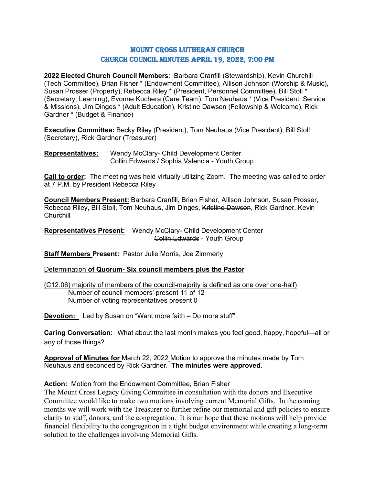# Mount Cross Lutheran Church Church Council Minutes April 19, 2022, 7:00 PM

**2022 Elected Church Council Members**: Barbara Cranfill (Stewardship), Kevin Churchill (Tech Committee), Brian Fisher \* (Endowment Committee), Allison Johnson (Worship & Music), Susan Prosser (Property), Rebecca Riley \* (President, Personnel Committee), Bill Stoll \* (Secretary, Learning), Evonne Kuchera (Care Team), Tom Neuhaus \* (Vice President, Service & Missions), Jim Dinges \* (Adult Education), Kristine Dawson (Fellowship & Welcome), Rick Gardner \* (Budget & Finance)

**Executive Committee:** Becky Riley (President), Tom Neuhaus (Vice President), Bill Stoll (Secretary), Rick Gardner (Treasurer)

**Representatives:** Wendy McClary- Child Development Center Collin Edwards / Sophia Valencia - Youth Group

**Call to order:** The meeting was held virtually utilizing Zoom. The meeting was called to order at 7 P.M. by President Rebecca Riley

**Council Members Present:** Barbara Cranfill, Brian Fisher, Allison Johnson, Susan Prosser, Rebecca Riley, Bill Stoll, Tom Neuhaus, Jim Dinges, Kristine Dawson, Rick Gardner, Kevin **Churchill** 

**Representatives Present:** Wendy McClary- Child Development Center Collin Edwards - Youth Group

**Staff Members Present:** Pastor Julie Morris, Joe Zimmerly

#### Determination **of Quorum- Six council members plus the Pastor**

(C12.06) majority of members of the council-majority is defined as one over one-half) Number of council members' present 11 of 12 Number of voting representatives present 0

**Devotion:** Led by Susan on "Want more faith – Do more stuff"

**Caring Conversation:** What about the last month makes you feel good, happy, hopeful—all or any of those things?

**Approval of Minutes for** March 22, 2022 Motion to approve the minutes made by Tom Neuhaus and seconded by Rick Gardner. **The minutes were approved**.

## **Action:** Motion from the Endowment Committee, Brian Fisher

The Mount Cross Legacy Giving Committee in consultation with the donors and Executive Committee would like to make two motions involving current Memorial Gifts. In the coming months we will work with the Treasurer to further refine our memorial and gift policies to ensure clarity to staff, donors, and the congregation. It is our hope that these motions will help provide financial flexibility to the congregation in a tight budget environment while creating a long-term solution to the challenges involving Memorial Gifts.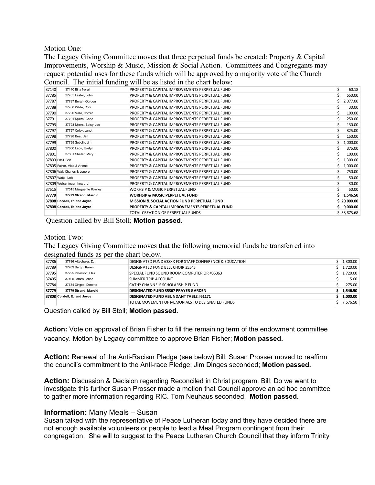Motion One:

The Legacy Giving Committee moves that three perpetual funds be created: Property & Capital Improvements, Worship & Music, Mission & Social Action. Committees and Congregants may request potential uses for these funds which will be approved by a majority vote of the Church Council. The initial funding will be as listed in the chart below:

| 37140            | 37140 Bina Norall            | PROPERTY & CAPITAL IMPROVEMENTS PERPETUAL FUND         | Ś | 60.18       |
|------------------|------------------------------|--------------------------------------------------------|---|-------------|
| 37785            | 37785 Lester, John           | PROPERTY & CAPITAL IMPROVEMENTS PERPETUAL FUND         |   | 550.00      |
| 37787            | 37787 Bergh, Gordon          | PROPERTY & CAPITAL IMPROVEMENTS PERPETUAL FUND         |   | 2,077.00    |
| 37788            | 37788 White, Roni            | PROPERTY & CAPITAL IMPROVEMENTS PERPETUAL FUND         |   | 30.00       |
| 37790            | 37790 Valle, Homer           | PROPERTY & CAPITAL IMPROVEMENTS PERPETUAL FUND         |   | 100.00      |
| 37791            | 37791 Myers, Gene            | PROPERTY & CAPITAL IMPROVEMENTS PERPETUAL FUND         |   | 250.00      |
| 37793            | 37793 Myers, Betsy Lee       | PROPERTY & CAPITAL IMPROVEMENTS PERPETUAL FUND         |   | 130.00      |
| 37797            | 37797 Colby, Janet           | PROPERTY & CAPITAL IMPROVEMENTS PERPETUAL FUND         |   | 325.00      |
| 37798            | 37798 Beat, Jan              | PROPERTY & CAPITAL IMPROVEMENTS PERPETUAL FUND         |   | 150.00      |
| 37799            | 37799 Sobolik, Jim           | PROPERTY & CAPITAL IMPROVEMENTS PERPETUAL FUND         |   | 1,000.00    |
| 37800            | 37800 Lacy, Evelyn           | PROPERTY & CAPITAL IMPROVEMENTS PERPETUAL FUND         |   | 375.00      |
| 37801            | 37801 Sheller, Mary          | PROPERTY & CAPITAL IMPROVEMENTS PERPETUAL FUND         |   | 100.00      |
| 37803 Edell, Bob |                              | PROPERTY & CAPITAL IMPROVEMENTS PERPETUAL FUND         |   | 1,300.00    |
|                  | 37805 Fajnor, Vlad & Arlene  | PROPERTY & CAPITAL IMPROVEMENTS PERPETUAL FUND         |   | 1,000.00    |
|                  | 37806 Wall, Charles & Lenore | PROPERTY & CAPITAL IMPROVEMENTS PERPETUAL FUND         |   | 750.00      |
|                  | 37807 Watts, Lois            | PROPERTY & CAPITAL IMPROVEMENTS PERPETUAL FUND         |   | 50.00       |
|                  | 37809 Wullschleger, how ard  | PROPERTY & CAPITAL IMPROVEMENTS PERPETUAL FUND         |   | 30.00       |
| 37515            | 37515 Marguerite Row ley     | WORHSIP & MUSIC PERPETUAL FUND                         |   | 50.00       |
| 37779            | 37779 Strand, Marold         | <b>WORHSIP &amp; MUSIC PERPETUAL FUND</b>              |   | 1,546.50    |
|                  | 37808 Cordell, Ed and Joyce  | <b>MISSION &amp; SOCIAL ACTION FUND PERPETUAL FUND</b> |   | \$20,000.00 |
|                  | 37808 Cordell, Ed and Joyce  | PROPERTY & CAPITAL IMPROVEMENTS PERPETUAL FUND         |   | 9,000.00    |
|                  |                              | TOTAL CREATION OF PERPETUAL FUNDS                      |   | \$38,873.68 |

Question called by Bill Stoll; **Motion passed.**

#### Motion Two:

The Legacy Giving Committee moves that the following memorial funds be transferred into designated funds as per the chart below.

|       | ັ                           |                                                        |    |          |
|-------|-----------------------------|--------------------------------------------------------|----|----------|
| 37786 | 37786 Altschuler, D.        | DESIGNATED FUND 638XX FOR STAFF CONFERENCE & EDUCATION |    | 1,300.00 |
| 37789 | 37789 Bergh, Karen          | <b>DESIGNATED FUND BELL CHOIR 35545</b>                | S. | 1,720.00 |
| 37795 | 37795 Peterson, Clair       | SPECIAL FUND SOUND ROOM COMPUTER OR #35363             |    | 1,720.00 |
| 37405 | 37405 James Jones           | SUMMER TRIP ACCOUNT                                    |    | 15.00    |
| 37784 | 37784 Dinges, Donette       | CATHY CHANNELS SCHOLARSHIP FUND                        |    | 275.00   |
| 37779 | 37779 Strand, Marold        | <b>DESIGNATED FUND 35367 PRAYER GARDEN</b>             |    | 1.546.50 |
|       | 37808 Cordell, Ed and Joyce | <b>DESIGNATED FUND ABUNDANT TABLE #61171</b>           |    | 1,000.00 |
|       |                             | TOTAL MOVEMENT OF MEMORIALS TO DESIGNATED FUNDS        |    | 7.576.50 |

Question called by Bill Stoll; **Motion passed.**

**Action:** Vote on approval of Brian Fisher to fill the remaining term of the endowment committee vacancy. Motion by Legacy committee to approve Brian Fisher; **Motion passed.**

**Action:** Renewal of the Anti-Racism Pledge (see below) Bill; Susan Prosser moved to reaffirm the council's commitment to the Anti-race Pledge; Jim Dinges seconded; **Motion passed.**

**Action:** Discussion & Decision regarding Reconciled in Christ program. Bill; Do we want to investigate this further Susan Prosser made a motion that Council approve an ad hoc committee to gather more information regarding RIC. Tom Neuhaus seconded. **Motion passed.**

#### **Information:** Many Meals – Susan

Susan talked with the representative of Peace Lutheran today and they have decided there are not enough available volunteers or people to lead a Meal Program contingent from their congregation. She will to suggest to the Peace Lutheran Church Council that they inform Trinity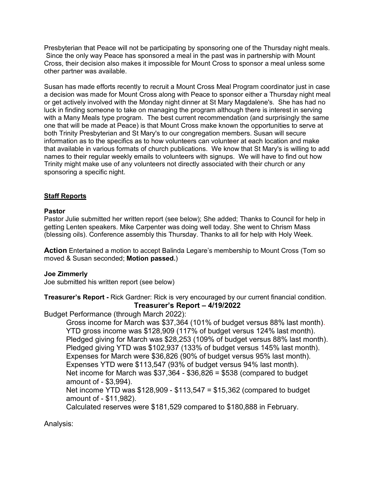Presbyterian that Peace will not be participating by sponsoring one of the Thursday night meals. Since the only way Peace has sponsored a meal in the past was in partnership with Mount Cross, their decision also makes it impossible for Mount Cross to sponsor a meal unless some other partner was available.

Susan has made efforts recently to recruit a Mount Cross Meal Program coordinator just in case a decision was made for Mount Cross along with Peace to sponsor either a Thursday night meal or get actively involved with the Monday night dinner at St Mary Magdalene's. She has had no luck in finding someone to take on managing the program although there is interest in serving with a Many Meals type program. The best current recommendation (and surprisingly the same one that will be made at Peace) is that Mount Cross make known the opportunities to serve at both Trinity Presbyterian and St Mary's to our congregation members. Susan will secure information as to the specifics as to how volunteers can volunteer at each location and make that available in various formats of church publications. We know that St Mary's is willing to add names to their regular weekly emails to volunteers with signups. We will have to find out how Trinity might make use of any volunteers not directly associated with their church or any sponsoring a specific night.

## **Staff Reports**

## **Pastor**

Pastor Julie submitted her written report (see below); She added; Thanks to Council for help in getting Lenten speakers. Mike Carpenter was doing well today. She went to Chrism Mass (blessing oils). Conference assembly this Thursday. Thanks to all for help with Holy Week.

**Action** Entertained a motion to accept Balinda Legare's membership to Mount Cross (Tom so moved & Susan seconded; **Motion passed.**)

## **Joe Zimmerly**

Joe submitted his written report (see below)

## **Treasurer's Report -** Rick Gardner: Rick is very encouraged by our current financial condition. **Treasurer's Report – 4/19/2022**

Budget Performance (through March 2022):

Gross income for March was \$37,364 (101% of budget versus 88% last month). YTD gross income was \$128,909 (117% of budget versus 124% last month). Pledged giving for March was \$28,253 (109% of budget versus 88% last month). Pledged giving YTD was \$102,937 (133% of budget versus 145% last month). Expenses for March were \$36,826 (90% of budget versus 95% last month). Expenses YTD were \$113,547 (93% of budget versus 94% last month). Net income for March was  $$37,364 - $36,826 = $538$  (compared to budget amount of - \$3,994). Net income YTD was \$128,909 - \$113,547 = \$15,362 (compared to budget

amount of - \$11,982).

Calculated reserves were \$181,529 compared to \$180,888 in February.

Analysis: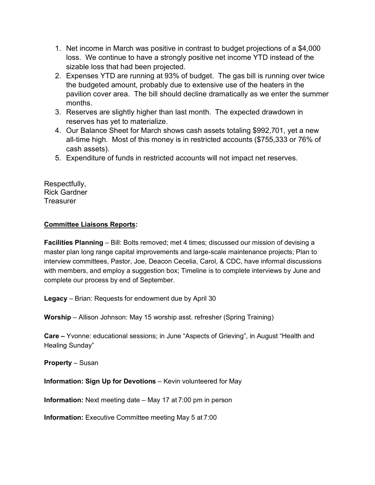- 1. Net income in March was positive in contrast to budget projections of a \$4,000 loss. We continue to have a strongly positive net income YTD instead of the sizable loss that had been projected.
- 2. Expenses YTD are running at 93% of budget. The gas bill is running over twice the budgeted amount, probably due to extensive use of the heaters in the pavilion cover area. The bill should decline dramatically as we enter the summer months.
- 3. Reserves are slightly higher than last month. The expected drawdown in reserves has yet to materialize.
- 4. Our Balance Sheet for March shows cash assets totaling \$992,701, yet a new all-time high. Most of this money is in restricted accounts (\$755,333 or 76% of cash assets).
- 5. Expenditure of funds in restricted accounts will not impact net reserves.

Respectfully, Rick Gardner **Treasurer** 

## **Committee Liaisons Reports:**

**Facilities Planning** – Bill: Bolts removed; met 4 times; discussed our mission of devising a master plan long range capital improvements and large-scale maintenance projects; Plan to interview committees, Pastor, Joe, Deacon Cecelia, Carol, & CDC, have informal discussions with members, and employ a suggestion box; Timeline is to complete interviews by June and complete our process by end of September.

**Legacy** – Brian: Requests for endowment due by April 30

**Worship** – Allison Johnson: May 15 worship asst. refresher (Spring Training)

**Care –** Yvonne: educational sessions; in June "Aspects of Grieving", in August "Health and Healing Sunday"

**Property** – Susan

**Information: Sign Up for Devotions** – Kevin volunteered for May

**Information:** Next meeting date – May 17 at 7:00 pm in person

**Information:** Executive Committee meeting May 5 at 7:00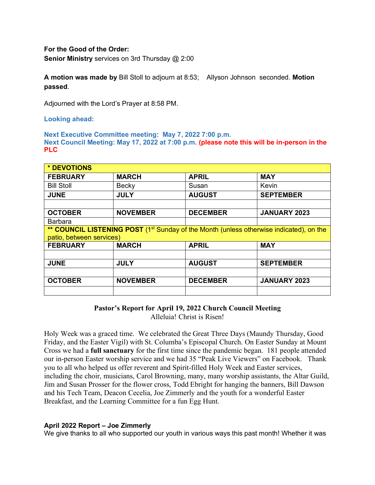## **For the Good of the Order:**

**Senior Ministry** services on 3rd Thursday @ 2:00

**A motion was made by** Bill Stoll to adjourn at 8:53; Allyson Johnson seconded. **Motion passed**.

Adjourned with the Lord's Prayer at 8:58 PM.

**Looking ahead:**

**Next Executive Committee meeting: May 7, 2022 7:00 p.m. Next Council Meeting: May 17, 2022 at 7:00 p.m. (please note this will be in-person in the PLC**

| * DEVOTIONS                                                                                         |                 |                 |                     |  |  |  |  |  |  |  |
|-----------------------------------------------------------------------------------------------------|-----------------|-----------------|---------------------|--|--|--|--|--|--|--|
| <b>FEBRUARY</b>                                                                                     | <b>MARCH</b>    | <b>APRIL</b>    | <b>MAY</b>          |  |  |  |  |  |  |  |
| <b>Bill Stoll</b>                                                                                   | Becky           | Susan           | Kevin               |  |  |  |  |  |  |  |
| <b>JUNE</b>                                                                                         | <b>JULY</b>     | <b>AUGUST</b>   | <b>SEPTEMBER</b>    |  |  |  |  |  |  |  |
|                                                                                                     |                 |                 |                     |  |  |  |  |  |  |  |
| <b>OCTOBER</b>                                                                                      | <b>NOVEMBER</b> | <b>DECEMBER</b> | <b>JANUARY 2023</b> |  |  |  |  |  |  |  |
| <b>Barbara</b>                                                                                      |                 |                 |                     |  |  |  |  |  |  |  |
| ** COUNCIL LISTENING POST (1 <sup>st</sup> Sunday of the Month (unless otherwise indicated), on the |                 |                 |                     |  |  |  |  |  |  |  |
| patio, between services)                                                                            |                 |                 |                     |  |  |  |  |  |  |  |
| <b>FEBRUARY</b>                                                                                     | <b>MARCH</b>    | <b>APRIL</b>    | <b>MAY</b>          |  |  |  |  |  |  |  |
|                                                                                                     |                 |                 |                     |  |  |  |  |  |  |  |
| <b>JUNE</b>                                                                                         | <b>JULY</b>     | <b>AUGUST</b>   | <b>SEPTEMBER</b>    |  |  |  |  |  |  |  |
|                                                                                                     |                 |                 |                     |  |  |  |  |  |  |  |
| <b>OCTOBER</b>                                                                                      | <b>NOVEMBER</b> | <b>DECEMBER</b> | JANUARY 2023        |  |  |  |  |  |  |  |
|                                                                                                     |                 |                 |                     |  |  |  |  |  |  |  |

**Pastor's Report for April 19, 2022 Church Council Meeting**

Alleluia! Christ is Risen!

Holy Week was a graced time. We celebrated the Great Three Days (Maundy Thursday, Good Friday, and the Easter Vigil) with St. Columba's Episcopal Church. On Easter Sunday at Mount Cross we had a **full sanctuary** for the first time since the pandemic began. 181 people attended our in-person Easter worship service and we had 35 "Peak Live Viewers" on Facebook. Thank you to all who helped us offer reverent and Spirit-filled Holy Week and Easter services, including the choir, musicians, Carol Browning, many, many worship assistants, the Altar Guild, Jim and Susan Prosser for the flower cross, Todd Ebright for hanging the banners, Bill Dawson and his Tech Team, Deacon Cecelia, Joe Zimmerly and the youth for a wonderful Easter Breakfast, and the Learning Committee for a fun Egg Hunt.

## **April 2022 Report – Joe Zimmerly**

We give thanks to all who supported our youth in various ways this past month! Whether it was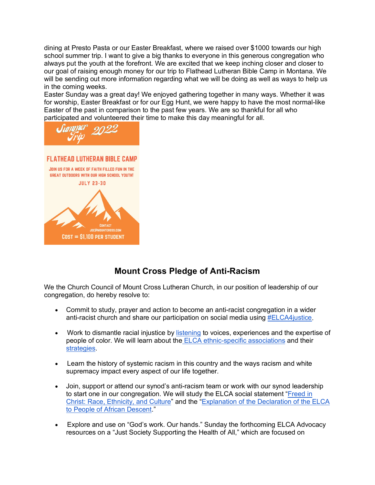dining at Presto Pasta or our Easter Breakfast, where we raised over \$1000 towards our high school summer trip. I want to give a big thanks to everyone in this generous congregation who always put the youth at the forefront. We are excited that we keep inching closer and closer to our goal of raising enough money for our trip to Flathead Lutheran Bible Camp in Montana. We will be sending out more information regarding what we will be doing as well as ways to help us in the coming weeks.

Easter Sunday was a great day! We enjoyed gathering together in many ways. Whether it was for worship, Easter Breakfast or for our Egg Hunt, we were happy to have the most normal-like Easter of the past in comparison to the past few years. We are so thankful for all who participated and volunteered their time to make this day meaningful for all.





# **Mount Cross Pledge of Anti-Racism**

We the Church Council of Mount Cross Lutheran Church, in our position of leadership of our congregation, do hereby resolve to:

- Commit to study, prayer and action to become an anti-racist congregation in a wider anti-racist church and share our participation on social media using #ELCA4justice.
- Work to dismantle racial injustice by listening to voices, experiences and the expertise of people of color. We will learn about the ELCA ethnic-specific associations and their strategies.
- Learn the history of systemic racism in this country and the ways racism and white supremacy impact every aspect of our life together.
- Join, support or attend our synod's anti-racism team or work with our synod leadership to start one in our congregation. We will study the ELCA social statement "Freed in Christ: Race, Ethnicity, and Culture" and the "Explanation of the Declaration of the ELCA to People of African Descent."
- Explore and use on "God's work. Our hands." Sunday the forthcoming ELCA Advocacy resources on a "Just Society Supporting the Health of All," which are focused on